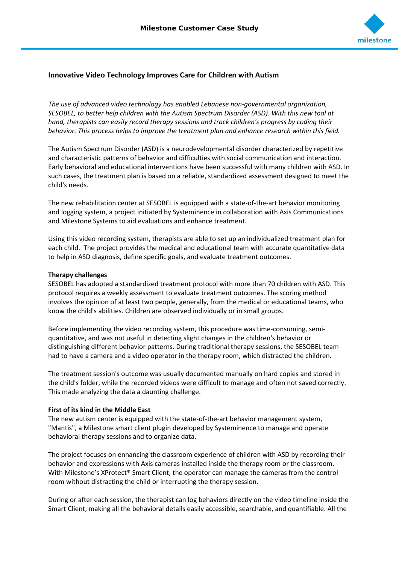

# **Innovative Video Technology Improves Care for Children with Autism**

*The use of advanced video technology has enabled Lebanese non-governmental organization, SESOBEL, to better help children with the Autism Spectrum Disorder (ASD). With this new tool at hand, therapists can easily record therapy sessions and track children's progress by coding their behavior. This process helps to improve the treatment plan and enhance research within this field.*

The Autism Spectrum Disorder (ASD) is a neurodevelopmental disorder characterized by repetitive and characteristic patterns of behavior and difficulties with social communication and interaction. Early behavioral and educational interventions have been successful with many children with ASD. In such cases, the treatment plan is based on a reliable, standardized assessment designed to meet the child's needs.

The new rehabilitation center at SESOBEL is equipped with a state-of-the-art behavior monitoring and logging system, a project initiated by Systeminence in collaboration with Axis Communications and Milestone Systems to aid evaluations and enhance treatment.

Using this video recording system, therapists are able to set up an individualized treatment plan for each child. The project provides the medical and educational team with accurate quantitative data to help in ASD diagnosis, define specific goals, and evaluate treatment outcomes.

#### **Therapy challenges**

SESOBEL has adopted a standardized treatment protocol with more than 70 children with ASD. This protocol requires a weekly assessment to evaluate treatment outcomes. The scoring method involves the opinion of at least two people, generally, from the medical or educational teams, who know the child's abilities. Children are observed individually or in small groups.

Before implementing the video recording system, this procedure was time-consuming, semiquantitative, and was not useful in detecting slight changes in the children's behavior or distinguishing different behavior patterns. During traditional therapy sessions, the SESOBEL team had to have a camera and a video operator in the therapy room, which distracted the children.

The treatment session's outcome was usually documented manually on hard copies and stored in the child's folder, while the recorded videos were difficult to manage and often not saved correctly. This made analyzing the data a daunting challenge.

#### **First of its kind in the Middle East**

The new autism center is equipped with the state-of-the-art behavior management system, "Mantis", a Milestone smart client plugin developed by Systeminence to manage and operate behavioral therapy sessions and to organize data.

The project focuses on enhancing the classroom experience of children with ASD by recording their behavior and expressions with Axis cameras installed inside the therapy room or the classroom. With Milestone's XProtect® Smart Client, the operator can manage the cameras from the control room without distracting the child or interrupting the therapy session.

During or after each session, the therapist can log behaviors directly on the video timeline inside the Smart Client, making all the behavioral details easily accessible, searchable, and quantifiable. All the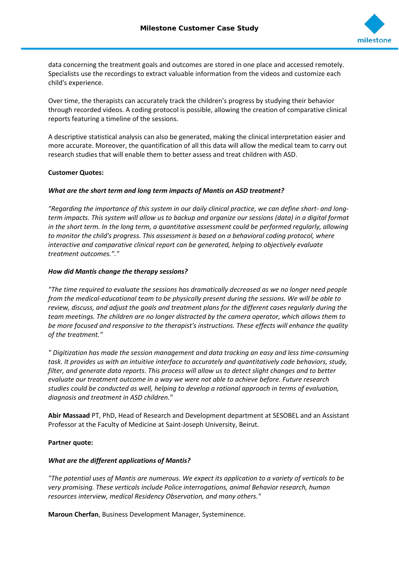

data concerning the treatment goals and outcomes are stored in one place and accessed remotely. Specialists use the recordings to extract valuable information from the videos and customize each child's experience.

Over time, the therapists can accurately track the children's progress by studying their behavior through recorded videos. A coding protocol is possible, allowing the creation of comparative clinical reports featuring a timeline of the sessions.

A descriptive statistical analysis can also be generated, making the clinical interpretation easier and more accurate. Moreover, the quantification of all this data will allow the medical team to carry out research studies that will enable them to better assess and treat children with ASD.

# **Customer Quotes:**

### *What are the short term and long term impacts of Mantis on ASD treatment?*

*"Regarding the importance of this system in our daily clinical practice, we can define short- and longterm impacts. This system will allow us to backup and organize our sessions (data) in a digital format in the short term. In the long term, a quantitative assessment could be performed regularly, allowing to monitor the child's progress. This assessment is based on a behavioral coding protocol, where interactive and comparative clinical report can be generated, helping to objectively evaluate treatment outcomes."."*

### *How did Mantis change the therapy sessions?*

*"The time required to evaluate the sessions has dramatically decreased as we no longer need people from the medical-educational team to be physically present during the sessions. We will be able to review, discuss, and adjust the goals and treatment plans for the different cases regularly during the team meetings. The children are no longer distracted by the camera operator, which allows them to be more focused and responsive to the therapist's instructions. These effects will enhance the quality of the treatment."*

*" Digitization has made the session management and data tracking an easy and less time-consuming task. It provides us with an intuitive interface to accurately and quantitatively code behaviors, study, filter, and generate data reports. This process will allow us to detect slight changes and to better evaluate our treatment outcome in a way we were not able to achieve before. Future research studies could be conducted as well, helping to develop a rational approach in terms of evaluation, diagnosis and treatment in ASD children."*

**Abir Massaad** PT, PhD, Head of Research and Development department at SESOBEL and an Assistant Professor at the Faculty of Medicine at Saint-Joseph University, Beirut.

# **Partner quote:**

# *What are the different applications of Mantis?*

*"The potential uses of Mantis are numerous. We expect its application to a variety of verticals to be very promising. These verticals include Police interrogations, animal Behavior research, human resources interview, medical Residency Observation, and many others."*

**Maroun Cherfan**, Business Development Manager, Systeminence.